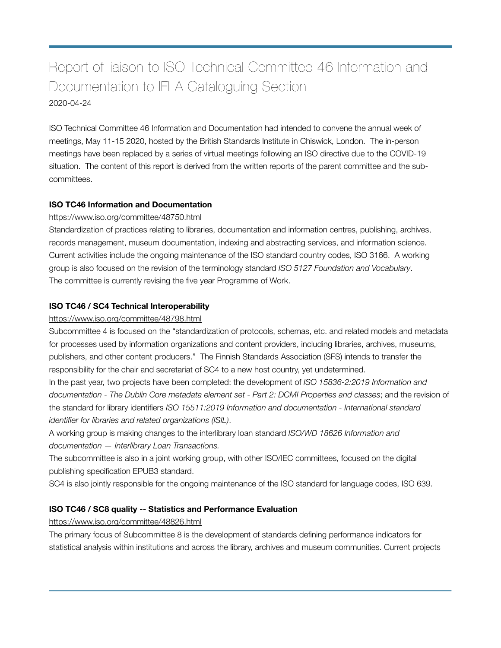# Report of liaison to ISO Technical Committee 46 Information and Documentation to IFLA Cataloguing Section 2020-04-24

ISO Technical Committee 46 Information and Documentation had intended to convene the annual week of meetings, May 11-15 2020, hosted by the British Standards Institute in Chiswick, London. The in-person meetings have been replaced by a series of virtual meetings following an ISO directive due to the COVID-19 situation. The content of this report is derived from the written reports of the parent committee and the subcommittees.

## **ISO TC46 Information and Documentation**

## <https://www.iso.org/committee/48750.html>

Standardization of practices relating to libraries, documentation and information centres, publishing, archives, records management, museum documentation, indexing and abstracting services, and information science. Current activities include the ongoing maintenance of the ISO standard country codes, ISO 3166. A working group is also focused on the revision of the terminology standard *ISO 5127 Foundation and Vocabulary*. The committee is currently revising the five year Programme of Work.

## **ISO TC46 / SC4 Technical Interoperability**

#### <https://www.iso.org/committee/48798.html>

Subcommittee 4 is focused on the "standardization of protocols, schemas, etc. and related models and metadata for processes used by information organizations and content providers, including libraries, archives, museums, publishers, and other content producers." The Finnish Standards Association (SFS) intends to transfer the responsibility for the chair and secretariat of SC4 to a new host country, yet undetermined.

In the past year, two projects have been completed: the development of *ISO 15836-2:2019 Information and documentation - The Dublin Core metadata element set - Part 2: DCMI Properties and classes*; and the revision of the standard for library identifiers *ISO 15511:2019 Information and documentation - International standard identifier for libraries and related organizations (ISIL)*.

A working group is making changes to the interlibrary loan standard *ISO/WD 18626 Information and documentation — Interlibrary Loan Transactions.* 

The subcommittee is also in a joint working group, with other ISO/IEC committees, focused on the digital publishing specification EPUB3 standard.

SC4 is also jointly responsible for the ongoing maintenance of the ISO standard for language codes, ISO 639.

## **ISO TC46 / SC8 quality -- Statistics and Performance Evaluation**

<https://www.iso.org/committee/48826.html>

The primary focus of Subcommittee 8 is the development of standards defining performance indicators for statistical analysis within institutions and across the library, archives and museum communities. Current projects